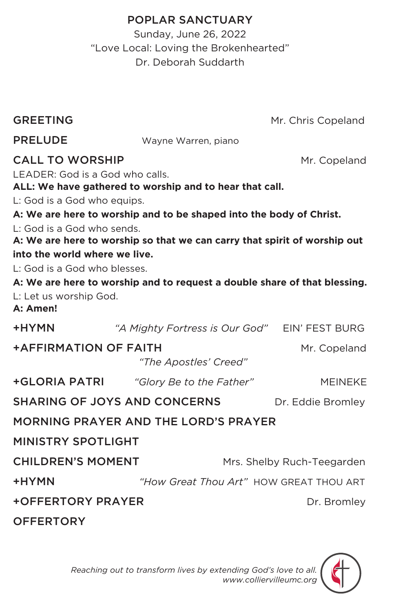# POPLAR SANCTUARY

Sunday, June 26, 2022 "Love Local: Loving the Brokenhearted" Dr. Deborah Suddarth

GREETING Mr. Chris Copeland

| <b>PRELUDE</b>                                                            | Wayne Warren, piano                                                       |                   |  |  |
|---------------------------------------------------------------------------|---------------------------------------------------------------------------|-------------------|--|--|
| <b>CALL TO WORSHIP</b>                                                    |                                                                           | Mr. Copeland      |  |  |
| LEADER: God is a God who calls.                                           |                                                                           |                   |  |  |
|                                                                           | ALL: We have gathered to worship and to hear that call.                   |                   |  |  |
| L: God is a God who equips.                                               |                                                                           |                   |  |  |
|                                                                           | A: We are here to worship and to be shaped into the body of Christ.       |                   |  |  |
| L: God is a God who sends.                                                |                                                                           |                   |  |  |
|                                                                           | A: We are here to worship so that we can carry that spirit of worship out |                   |  |  |
| into the world where we live.                                             |                                                                           |                   |  |  |
| L: God is a God who blesses.                                              |                                                                           |                   |  |  |
| A: We are here to worship and to request a double share of that blessing. |                                                                           |                   |  |  |
| L: Let us worship God.<br>A: Amen!                                        |                                                                           |                   |  |  |
| +HYMN                                                                     | "A Mighty Fortress is Our God" EIN' FEST BURG                             |                   |  |  |
| <b>+AFFIRMATION OF FAITH</b>                                              |                                                                           | Mr. Copeland      |  |  |
|                                                                           | "The Apostles' Creed"                                                     |                   |  |  |
|                                                                           | +GLORIA PATRI "Glory Be to the Father"                                    | <b>MEINEKE</b>    |  |  |
|                                                                           | <b>SHARING OF JOYS AND CONCERNS</b>                                       | Dr. Eddie Bromley |  |  |
| MORNING PRAYER AND THE LORD'S PRAYER                                      |                                                                           |                   |  |  |
| <b>MINISTRY SPOTLIGHT</b>                                                 |                                                                           |                   |  |  |
| <b>CHILDREN'S MOMENT</b><br>Mrs. Shelby Ruch-Teegarden                    |                                                                           |                   |  |  |
| +HYMN                                                                     | "How Great Thou Art" HOW GREAT THOU ART                                   |                   |  |  |
| <b>+OFFERTORY PRAYER</b><br>Dr. Bromley                                   |                                                                           |                   |  |  |
| <b>OFFERTORY</b>                                                          |                                                                           |                   |  |  |
|                                                                           |                                                                           |                   |  |  |